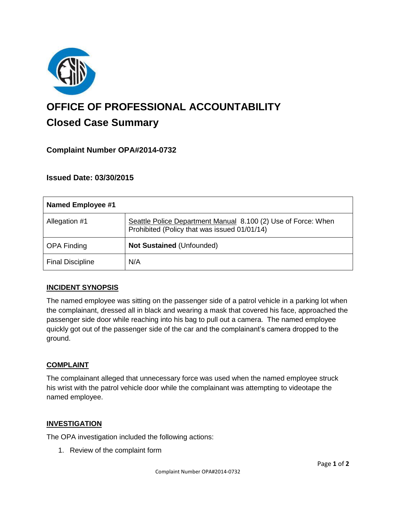

# **OFFICE OF PROFESSIONAL ACCOUNTABILITY Closed Case Summary**

## **Complaint Number OPA#2014-0732**

## **Issued Date: 03/30/2015**

| <b>Named Employee #1</b> |                                                                                                               |
|--------------------------|---------------------------------------------------------------------------------------------------------------|
| Allegation #1            | Seattle Police Department Manual 8.100 (2) Use of Force: When<br>Prohibited (Policy that was issued 01/01/14) |
| <b>OPA Finding</b>       | Not Sustained (Unfounded)                                                                                     |
| <b>Final Discipline</b>  | N/A                                                                                                           |

### **INCIDENT SYNOPSIS**

The named employee was sitting on the passenger side of a patrol vehicle in a parking lot when the complainant, dressed all in black and wearing a mask that covered his face, approached the passenger side door while reaching into his bag to pull out a camera. The named employee quickly got out of the passenger side of the car and the complainant's camera dropped to the ground.

### **COMPLAINT**

The complainant alleged that unnecessary force was used when the named employee struck his wrist with the patrol vehicle door while the complainant was attempting to videotape the named employee.

### **INVESTIGATION**

The OPA investigation included the following actions:

1. Review of the complaint form